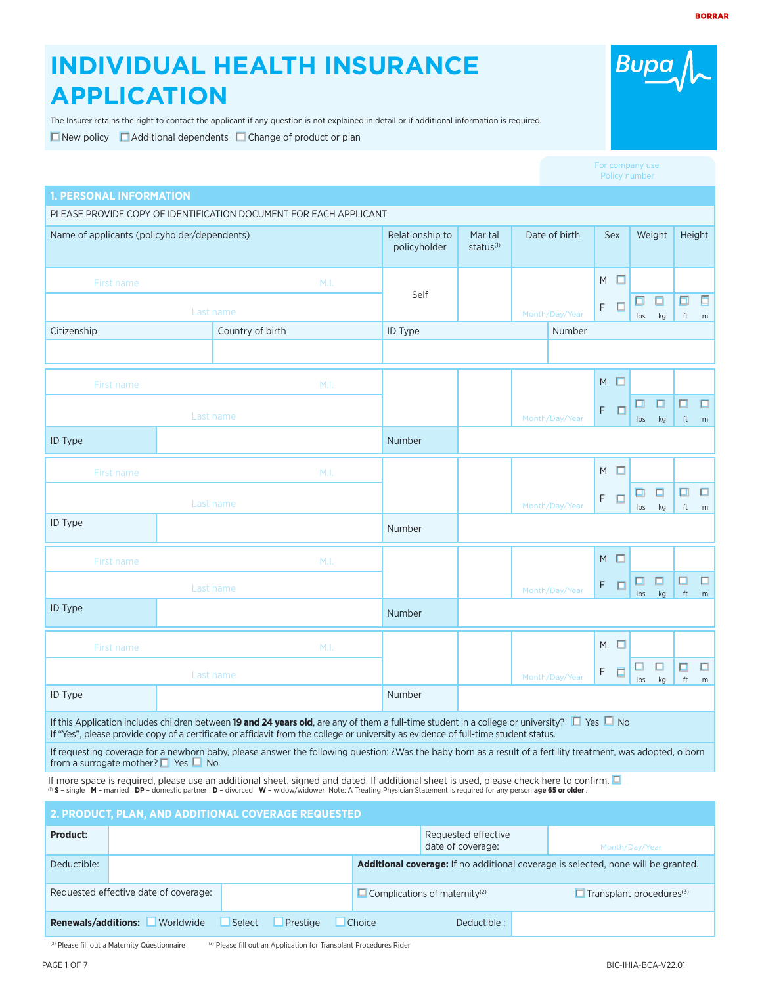# **INDIVIDUAL HEALTH INSURANCE APPLICATION**

The Insurer retains the right to contact the applicant if any question is not explained in detail or if additional information is required.  $\Box$  New policy  $\Box$  Additional dependents  $\Box$  Change of product or plan

|                                               |                                                                                                                                                                                                                                                                                                            |                                 |                                  |                |            |   | Policy number |         |                              |             |
|-----------------------------------------------|------------------------------------------------------------------------------------------------------------------------------------------------------------------------------------------------------------------------------------------------------------------------------------------------------------|---------------------------------|----------------------------------|----------------|------------|---|---------------|---------|------------------------------|-------------|
| <b>1. PERSONAL INFORMATION</b>                |                                                                                                                                                                                                                                                                                                            |                                 |                                  |                |            |   |               |         |                              |             |
| Name of applicants (policyholder/dependents)  | PLEASE PROVIDE COPY OF IDENTIFICATION DOCUMENT FOR EACH APPLICANT                                                                                                                                                                                                                                          | Relationship to<br>policyholder | Marital<br>status <sup>(1)</sup> | Date of birth  | Sex        |   | Weight        |         | Height                       |             |
| First name                                    | M.I.                                                                                                                                                                                                                                                                                                       |                                 |                                  |                | M          | п |               |         |                              |             |
|                                               | Last name                                                                                                                                                                                                                                                                                                  | Self                            |                                  | Month/Day/Year | F          | Е | Ibs           | □<br>kg | σ<br>$\operatorname{\sf ft}$ | 日<br>m      |
| Citizenship                                   | Country of birth                                                                                                                                                                                                                                                                                           | ID Type                         |                                  | Number         |            |   |               |         |                              |             |
|                                               |                                                                                                                                                                                                                                                                                                            |                                 |                                  |                |            |   |               |         |                              |             |
| First name                                    | M.I.                                                                                                                                                                                                                                                                                                       |                                 |                                  |                | $M$ $\Box$ |   |               |         |                              |             |
|                                               | Last name                                                                                                                                                                                                                                                                                                  |                                 |                                  | Month/Day/Year | F          | П | ◫<br>Ibs      | o<br>kg | □<br>ft                      | $\Box$<br>m |
| <b>ID Type</b>                                |                                                                                                                                                                                                                                                                                                            | Number                          |                                  |                |            |   |               |         |                              |             |
| First name                                    | M.I.                                                                                                                                                                                                                                                                                                       |                                 |                                  |                | $M$ $\Box$ |   |               |         |                              |             |
|                                               | Last name                                                                                                                                                                                                                                                                                                  |                                 |                                  | Month/Day/Year | F          | □ | ⊡<br>Ibs      | п<br>kg | □<br>ft                      | $\Box$<br>m |
| <b>ID</b> Type                                |                                                                                                                                                                                                                                                                                                            | Number                          |                                  |                |            |   |               |         |                              |             |
| First name                                    | M.I.                                                                                                                                                                                                                                                                                                       |                                 |                                  |                | $M$ $\Box$ |   |               |         |                              |             |
|                                               | Last name                                                                                                                                                                                                                                                                                                  |                                 |                                  | Month/Day/Year | F          | п | ◨<br>lbs      | □<br>kg | $\Box$<br>ft                 | $\Box$<br>m |
| ID Type                                       |                                                                                                                                                                                                                                                                                                            | Number                          |                                  |                |            |   |               |         |                              |             |
| First name                                    | M.I.                                                                                                                                                                                                                                                                                                       |                                 |                                  |                | M          | □ |               |         |                              |             |
|                                               | Last name                                                                                                                                                                                                                                                                                                  |                                 |                                  | Month/Day/Year | F          | □ | ш<br>Ibs      | □<br>kg | □<br>ft                      | $\Box$<br>m |
| ID Type                                       |                                                                                                                                                                                                                                                                                                            | Number                          |                                  |                |            |   |               |         |                              |             |
|                                               | If this Application includes children between 19 and 24 years old, are any of them a full-time student in a college or university? $\Box$ Yes $\Box$ No<br>If "Yes", please provide copy of a certificate or affidavit from the college or university as evidence of full-time student status.             |                                 |                                  |                |            |   |               |         |                              |             |
| from a surrogate mother? $\Box$ Yes $\Box$ No | If requesting coverage for a newborn baby, please answer the following question: ¿Was the baby born as a result of a fertility treatment, was adopted, o born                                                                                                                                              |                                 |                                  |                |            |   |               |         |                              |             |
|                                               | If more space is required, please use an additional sheet, signed and dated. If additional sheet is used, please check here to confirm.<br>(0) S - single M - married DP - domestic partner D - divorced W - widow/widower Note: A Treating Physician Statement is required for any person age 65 or older |                                 |                                  |                |            |   |               |         |                              |             |
|                                               | 2. PRODUCT, PLAN, AND ADDITIONAL COVERAGE REQUESTED                                                                                                                                                                                                                                                        |                                 |                                  |                |            |   |               |         |                              |             |
| Product:                                      |                                                                                                                                                                                                                                                                                                            |                                 | Requested effective              |                |            |   |               |         |                              |             |

| <b>Product:</b>            |                                       |        |          | Requested effective<br>date of coverage: | Month/Day/Year                                   |                                                                                          |
|----------------------------|---------------------------------------|--------|----------|------------------------------------------|--------------------------------------------------|------------------------------------------------------------------------------------------|
| Deductible:                |                                       |        |          |                                          |                                                  | <b>Additional coverage:</b> If no additional coverage is selected, none will be granted. |
|                            | Requested effective date of coverage: |        |          |                                          | $\Box$ Complications of maternity <sup>(2)</sup> | $\blacksquare$ Transplant procedures <sup>(3)</sup>                                      |
| <b>Renewals/additions:</b> | Worldwide                             | Select | Prestige | Choice                                   | Deductible:                                      |                                                                                          |

 $(2)$  Please fill out a Maternity Questionnaire  $(3)$  Please fill out an Application for Transplant Procedures Rider

## For com-

**Bupa**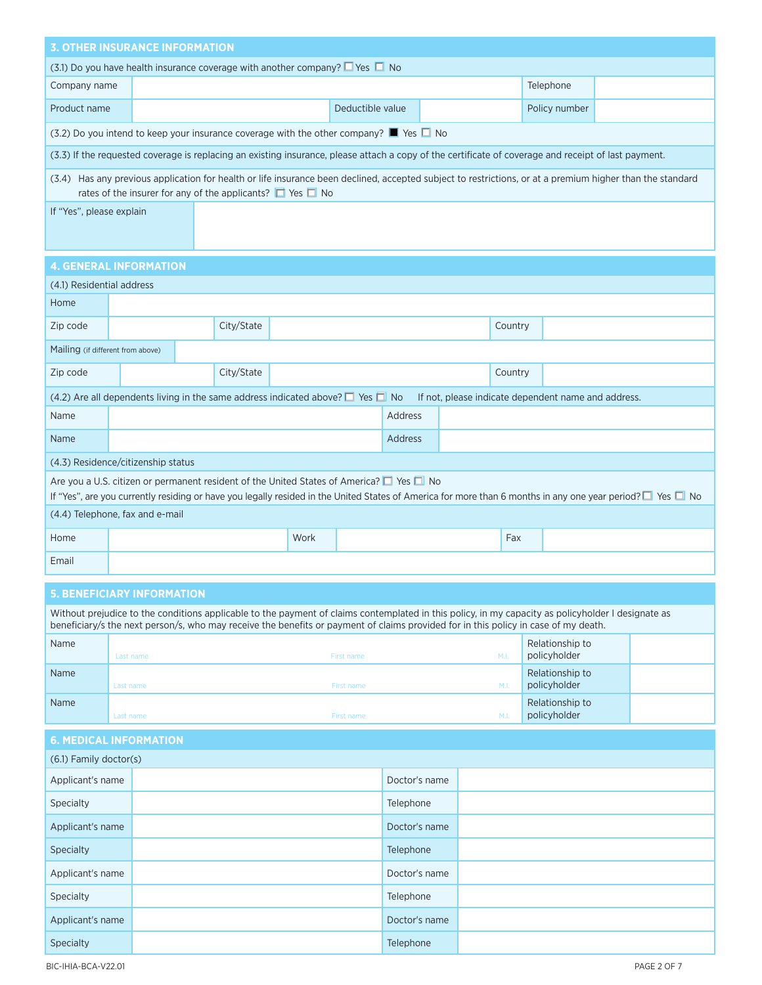|                                   |                                                                                        | <b>3. OTHER INSURANCE INFORMATION</b>                                                                                                                                                                                                                                                     |            |      |                  |               |  |         |                                                     |  |
|-----------------------------------|----------------------------------------------------------------------------------------|-------------------------------------------------------------------------------------------------------------------------------------------------------------------------------------------------------------------------------------------------------------------------------------------|------------|------|------------------|---------------|--|---------|-----------------------------------------------------|--|
|                                   | (3.1) Do you have health insurance coverage with another company? $\Box$ Yes $\Box$ No |                                                                                                                                                                                                                                                                                           |            |      |                  |               |  |         |                                                     |  |
| Company name                      |                                                                                        |                                                                                                                                                                                                                                                                                           |            |      |                  |               |  |         | Telephone                                           |  |
| Product name                      |                                                                                        |                                                                                                                                                                                                                                                                                           |            |      | Deductible value |               |  |         | Policy number                                       |  |
|                                   |                                                                                        | (3.2) Do you intend to keep your insurance coverage with the other company? $\blacksquare$ Yes $\blacksquare$ No                                                                                                                                                                          |            |      |                  |               |  |         |                                                     |  |
|                                   |                                                                                        | (3.3) If the requested coverage is replacing an existing insurance, please attach a copy of the certificate of coverage and receipt of last payment.                                                                                                                                      |            |      |                  |               |  |         |                                                     |  |
|                                   |                                                                                        | (3.4) Has any previous application for health or life insurance been declined, accepted subject to restrictions, or at a premium higher than the standard<br>rates of the insurer for any of the applicants? $\Box$ Yes $\Box$ No                                                         |            |      |                  |               |  |         |                                                     |  |
|                                   | If "Yes", please explain                                                               |                                                                                                                                                                                                                                                                                           |            |      |                  |               |  |         |                                                     |  |
|                                   |                                                                                        |                                                                                                                                                                                                                                                                                           |            |      |                  |               |  |         |                                                     |  |
| <b>4. GENERAL INFORMATION</b>     |                                                                                        |                                                                                                                                                                                                                                                                                           |            |      |                  |               |  |         |                                                     |  |
| (4.1) Residential address         |                                                                                        |                                                                                                                                                                                                                                                                                           |            |      |                  |               |  |         |                                                     |  |
| Home                              |                                                                                        |                                                                                                                                                                                                                                                                                           |            |      |                  |               |  |         |                                                     |  |
| Zip code                          |                                                                                        |                                                                                                                                                                                                                                                                                           | City/State |      |                  |               |  | Country |                                                     |  |
| Mailing (if different from above) |                                                                                        |                                                                                                                                                                                                                                                                                           |            |      |                  |               |  |         |                                                     |  |
| Zip code                          |                                                                                        |                                                                                                                                                                                                                                                                                           | City/State |      |                  |               |  | Country |                                                     |  |
|                                   |                                                                                        | (4.2) Are all dependents living in the same address indicated above? $\Box$ Yes $\Box$ No                                                                                                                                                                                                 |            |      |                  |               |  |         | If not, please indicate dependent name and address. |  |
| Name                              |                                                                                        |                                                                                                                                                                                                                                                                                           |            |      |                  | Address       |  |         |                                                     |  |
| Name                              |                                                                                        |                                                                                                                                                                                                                                                                                           |            |      |                  | Address       |  |         |                                                     |  |
|                                   |                                                                                        | (4.3) Residence/citizenship status                                                                                                                                                                                                                                                        |            |      |                  |               |  |         |                                                     |  |
|                                   |                                                                                        | Are you a U.S. citizen or permanent resident of the United States of America? $\Box$ Yes $\Box$ No<br>If "Yes", are you currently residing or have you legally resided in the United States of America for more than 6 months in any one year period? I Yes I No                          |            |      |                  |               |  |         |                                                     |  |
| (4.4) Telephone, fax and e-mail   |                                                                                        |                                                                                                                                                                                                                                                                                           |            |      |                  |               |  |         |                                                     |  |
| Home                              |                                                                                        |                                                                                                                                                                                                                                                                                           |            | Work |                  |               |  | Fax     |                                                     |  |
| Email                             |                                                                                        |                                                                                                                                                                                                                                                                                           |            |      |                  |               |  |         |                                                     |  |
|                                   |                                                                                        | <b>5. BENEFICIARY INFORMATION</b>                                                                                                                                                                                                                                                         |            |      |                  |               |  |         |                                                     |  |
|                                   |                                                                                        | Without prejudice to the conditions applicable to the payment of claims contemplated in this policy, in my capacity as policyholder I designate as<br>beneficiary/s the next person/s, who may receive the benefits or payment of claims provided for in this policy in case of my death. |            |      |                  |               |  |         |                                                     |  |
| Name                              |                                                                                        |                                                                                                                                                                                                                                                                                           |            |      |                  |               |  |         | Relationship to                                     |  |
| Name                              | Last name                                                                              |                                                                                                                                                                                                                                                                                           |            |      | First name       |               |  | M.I.    | policyholder<br>Relationship to                     |  |
|                                   | Last name                                                                              |                                                                                                                                                                                                                                                                                           |            |      | First name       |               |  | M.I.    | policyholder                                        |  |
| Name                              | Last name                                                                              |                                                                                                                                                                                                                                                                                           |            |      | First name       |               |  | M.I.    | Relationship to<br>policyholder                     |  |
| <b>6. MEDICAL INFORMATION</b>     |                                                                                        |                                                                                                                                                                                                                                                                                           |            |      |                  |               |  |         |                                                     |  |
| (6.1) Family doctor(s)            |                                                                                        |                                                                                                                                                                                                                                                                                           |            |      |                  |               |  |         |                                                     |  |
| Applicant's name                  |                                                                                        |                                                                                                                                                                                                                                                                                           |            |      |                  | Doctor's name |  |         |                                                     |  |
| Specialty                         |                                                                                        |                                                                                                                                                                                                                                                                                           |            |      |                  | Telephone     |  |         |                                                     |  |
| Applicant's name                  |                                                                                        |                                                                                                                                                                                                                                                                                           |            |      |                  | Doctor's name |  |         |                                                     |  |
| Specialty                         |                                                                                        |                                                                                                                                                                                                                                                                                           |            |      |                  | Telephone     |  |         |                                                     |  |
| Applicant's name                  |                                                                                        |                                                                                                                                                                                                                                                                                           |            |      |                  | Doctor's name |  |         |                                                     |  |
| Specialty                         |                                                                                        |                                                                                                                                                                                                                                                                                           |            |      |                  | Telephone     |  |         |                                                     |  |
| Applicant's name                  |                                                                                        |                                                                                                                                                                                                                                                                                           |            |      |                  | Doctor's name |  |         |                                                     |  |
| Specialty                         |                                                                                        |                                                                                                                                                                                                                                                                                           |            |      |                  | Telephone     |  |         |                                                     |  |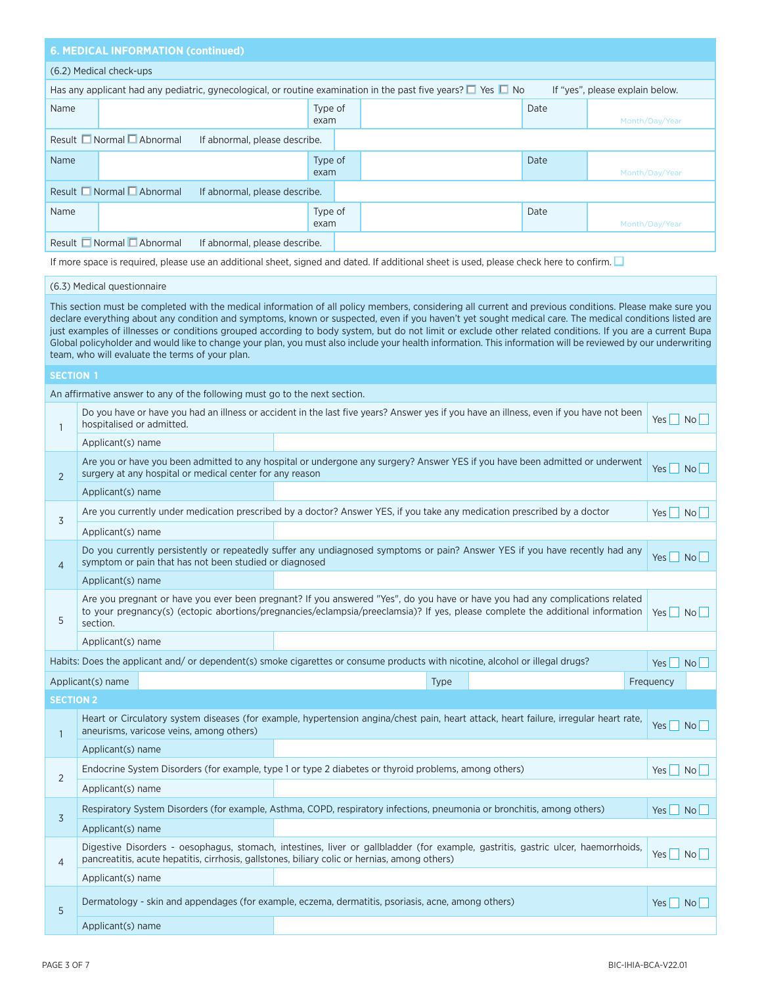## **6. MEDICAL INFORMATION (continued)**

### (6.2) Medical check-ups

|                                                                       |                               |         | Has any applicant had any pediatric, gynecological, or routine examination in the past five years? $\square$ Yes $\square$ No |      | If "yes", please explain below. |  |  |  |
|-----------------------------------------------------------------------|-------------------------------|---------|-------------------------------------------------------------------------------------------------------------------------------|------|---------------------------------|--|--|--|
| Name                                                                  |                               | Type of |                                                                                                                               | Date |                                 |  |  |  |
|                                                                       |                               | exam    |                                                                                                                               |      | Month/Day/Year                  |  |  |  |
| Result $\Box$ Normal $\Box$ Abnormal<br>If abnormal, please describe. |                               |         |                                                                                                                               |      |                                 |  |  |  |
| Name                                                                  |                               | Type of |                                                                                                                               | Date |                                 |  |  |  |
|                                                                       |                               | exam    |                                                                                                                               |      | Month/Day/Year                  |  |  |  |
| Result $\Box$ Normal $\Box$ Abnormal                                  | If abnormal, please describe. |         |                                                                                                                               |      |                                 |  |  |  |
| Name                                                                  |                               | Type of |                                                                                                                               | Date |                                 |  |  |  |
|                                                                       |                               | exam    |                                                                                                                               |      | Month/Day/Year                  |  |  |  |
| Result Normal <u>D</u> Abnormal                                       | If abnormal, please describe. |         |                                                                                                                               |      |                                 |  |  |  |

If more space is required, please use an additional sheet, signed and dated. If additional sheet is used, please check here to confirm.

#### (6.3) Medical questionnaire

This section must be completed with the medical information of all policy members, considering all current and previous conditions. Please make sure you declare everything about any condition and symptoms, known or suspected, even if you haven't yet sought medical care. The medical conditions listed are just examples of illnesses or conditions grouped according to body system, but do not limit or exclude other related conditions. If you are a current Bupa Global policyholder and would like to change your plan, you must also include your health information. This information will be reviewed by our underwriting team, who will evaluate the terms of your plan.

## **SECTION 1**

An affirmative answer to any of the following must go to the next section.

| $\mathbf{1}$     | hospitalised or admitted. |                                                                                                    |                                                                                                                              |             | Do you have or have you had an illness or accident in the last five years? Answer yes if you have an illness, even if you have not been                                                                                                                         | Yes No             |                 |
|------------------|---------------------------|----------------------------------------------------------------------------------------------------|------------------------------------------------------------------------------------------------------------------------------|-------------|-----------------------------------------------------------------------------------------------------------------------------------------------------------------------------------------------------------------------------------------------------------------|--------------------|-----------------|
|                  | Applicant(s) name         |                                                                                                    |                                                                                                                              |             |                                                                                                                                                                                                                                                                 |                    |                 |
| $\overline{2}$   |                           | surgery at any hospital or medical center for any reason                                           |                                                                                                                              |             | Are you or have you been admitted to any hospital or undergone any surgery? Answer YES if you have been admitted or underwent                                                                                                                                   | Yes No             |                 |
|                  | Applicant(s) name         |                                                                                                    |                                                                                                                              |             |                                                                                                                                                                                                                                                                 |                    |                 |
| 3                |                           |                                                                                                    | Are you currently under medication prescribed by a doctor? Answer YES, if you take any medication prescribed by a doctor     |             |                                                                                                                                                                                                                                                                 | Yes No             |                 |
|                  | Applicant(s) name         |                                                                                                    |                                                                                                                              |             |                                                                                                                                                                                                                                                                 |                    |                 |
| $\overline{4}$   |                           | symptom or pain that has not been studied or diagnosed                                             |                                                                                                                              |             | Do you currently persistently or repeatedly suffer any undiagnosed symptoms or pain? Answer YES if you have recently had any                                                                                                                                    | Yes No             |                 |
|                  | Applicant(s) name         |                                                                                                    |                                                                                                                              |             |                                                                                                                                                                                                                                                                 |                    |                 |
| 5                | section.                  |                                                                                                    |                                                                                                                              |             | Are you pregnant or have you ever been pregnant? If you answered "Yes", do you have or have you had any complications related<br>to your pregnancy(s) (ectopic abortions/pregnancies/eclampsia/preeclamsia)? If yes, please complete the additional information | $Yes$              | No              |
|                  | Applicant(s) name         |                                                                                                    |                                                                                                                              |             |                                                                                                                                                                                                                                                                 |                    |                 |
|                  |                           |                                                                                                    | Habits: Does the applicant and/or dependent(s) smoke cigarettes or consume products with nicotine, alcohol or illegal drugs? |             |                                                                                                                                                                                                                                                                 | Yes                | No <sub>1</sub> |
|                  | Applicant(s) name         |                                                                                                    |                                                                                                                              | <b>Type</b> |                                                                                                                                                                                                                                                                 | Frequency          |                 |
| <b>SECTION 2</b> |                           |                                                                                                    |                                                                                                                              |             |                                                                                                                                                                                                                                                                 |                    |                 |
| $\mathbf{1}$     |                           | aneurisms, varicose veins, among others)                                                           |                                                                                                                              |             | Heart or Circulatory system diseases (for example, hypertension angina/chest pain, heart attack, heart failure, irregular heart rate,                                                                                                                           | Yes No             |                 |
|                  | Applicant(s) name         |                                                                                                    |                                                                                                                              |             |                                                                                                                                                                                                                                                                 |                    |                 |
| $\overline{2}$   |                           |                                                                                                    | Endocrine System Disorders (for example, type 1 or type 2 diabetes or thyroid problems, among others)                        |             |                                                                                                                                                                                                                                                                 | Yes No             |                 |
|                  | Applicant(s) name         |                                                                                                    |                                                                                                                              |             |                                                                                                                                                                                                                                                                 |                    |                 |
| $\overline{3}$   |                           |                                                                                                    | Respiratory System Disorders (for example, Asthma, COPD, respiratory infections, pneumonia or bronchitis, among others)      |             |                                                                                                                                                                                                                                                                 | Yes No             |                 |
|                  | Applicant(s) name         |                                                                                                    |                                                                                                                              |             |                                                                                                                                                                                                                                                                 |                    |                 |
| $\overline{4}$   |                           |                                                                                                    | pancreatitis, acute hepatitis, cirrhosis, gallstones, biliary colic or hernias, among others)                                |             | Digestive Disorders - oesophagus, stomach, intestines, liver or gallbladder (for example, gastritis, gastric ulcer, haemorrhoids,                                                                                                                               | Yes                | No              |
|                  | Applicant(s) name         |                                                                                                    |                                                                                                                              |             |                                                                                                                                                                                                                                                                 |                    |                 |
| 5                |                           |                                                                                                    |                                                                                                                              |             |                                                                                                                                                                                                                                                                 | $Yes \mid No \mid$ |                 |
|                  |                           | Dermatology - skin and appendages (for example, eczema, dermatitis, psoriasis, acne, among others) |                                                                                                                              |             |                                                                                                                                                                                                                                                                 |                    |                 |
|                  | Applicant(s) name         |                                                                                                    |                                                                                                                              |             |                                                                                                                                                                                                                                                                 |                    |                 |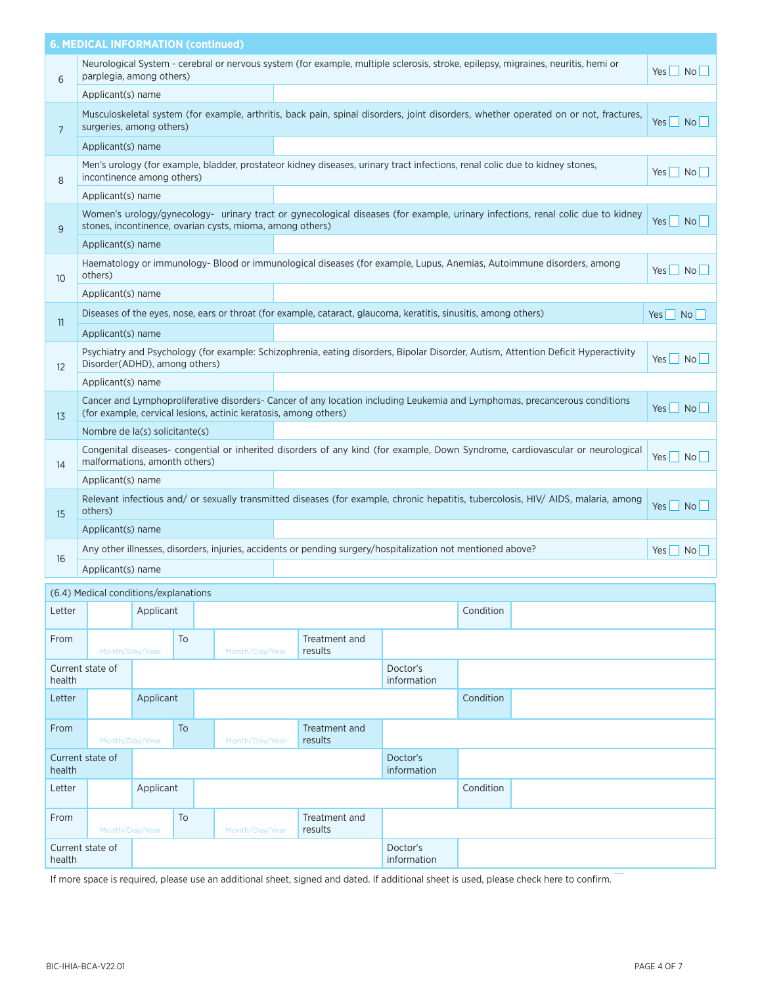|                 | <b>6. MEDICAL INFORMATION (continued)</b> |           |    |                                                                  |                                                                                                                              |                         |           |                                                                                                                                      |                    |
|-----------------|-------------------------------------------|-----------|----|------------------------------------------------------------------|------------------------------------------------------------------------------------------------------------------------------|-------------------------|-----------|--------------------------------------------------------------------------------------------------------------------------------------|--------------------|
| 6               | parplegia, among others)                  |           |    |                                                                  |                                                                                                                              |                         |           | Neurological System - cerebral or nervous system (for example, multiple sclerosis, stroke, epilepsy, migraines, neuritis, hemi or    | Yes   No           |
|                 | Applicant(s) name                         |           |    |                                                                  |                                                                                                                              |                         |           |                                                                                                                                      |                    |
| $\overline{7}$  | surgeries, among others)                  |           |    |                                                                  |                                                                                                                              |                         |           | Musculoskeletal system (for example, arthritis, back pain, spinal disorders, joint disorders, whether operated on or not, fractures, | Yes No             |
|                 | Applicant(s) name                         |           |    |                                                                  |                                                                                                                              |                         |           |                                                                                                                                      |                    |
| 8               | incontinence among others)                |           |    |                                                                  | Men's urology (for example, bladder, prostateor kidney diseases, urinary tract infections, renal colic due to kidney stones, |                         |           |                                                                                                                                      | Yes No             |
|                 | Applicant(s) name                         |           |    |                                                                  |                                                                                                                              |                         |           |                                                                                                                                      |                    |
| 9               |                                           |           |    | stones, incontinence, ovarian cysts, mioma, among others)        |                                                                                                                              |                         |           | Women's urology/gynecology- urinary tract or gynecological diseases (for example, urinary infections, renal colic due to kidney      | Yes   No           |
|                 | Applicant(s) name                         |           |    |                                                                  |                                                                                                                              |                         |           |                                                                                                                                      |                    |
| 10 <sup>°</sup> | others)                                   |           |    |                                                                  |                                                                                                                              |                         |           | Haematology or immunology- Blood or immunological diseases (for example, Lupus, Anemias, Autoimmune disorders, among                 | Yes No             |
|                 | Applicant(s) name                         |           |    |                                                                  |                                                                                                                              |                         |           |                                                                                                                                      |                    |
| 11              |                                           |           |    |                                                                  | Diseases of the eyes, nose, ears or throat (for example, cataract, glaucoma, keratitis, sinusitis, among others)             |                         |           |                                                                                                                                      | Yes No             |
|                 | Applicant(s) name                         |           |    |                                                                  |                                                                                                                              |                         |           |                                                                                                                                      |                    |
| 12              | Disorder(ADHD), among others)             |           |    |                                                                  |                                                                                                                              |                         |           | Psychiatry and Psychology (for example: Schizophrenia, eating disorders, Bipolar Disorder, Autism, Attention Deficit Hyperactivity   | Yes No             |
|                 | Applicant(s) name                         |           |    |                                                                  |                                                                                                                              |                         |           |                                                                                                                                      |                    |
| 13              |                                           |           |    | (for example, cervical lesions, actinic keratosis, among others) |                                                                                                                              |                         |           | Cancer and Lymphoproliferative disorders- Cancer of any location including Leukemia and Lymphomas, precancerous conditions           | $Yes \mid No \mid$ |
|                 | Nombre de la(s) solicitante(s)            |           |    |                                                                  |                                                                                                                              |                         |           |                                                                                                                                      |                    |
| 14              | malformations, amonth others)             |           |    |                                                                  |                                                                                                                              |                         |           | Congenital diseases- congential or inherited disorders of any kind (for example, Down Syndrome, cardiovascular or neurological       | $Yes \Box No \Box$ |
|                 | Applicant(s) name                         |           |    |                                                                  |                                                                                                                              |                         |           |                                                                                                                                      |                    |
| 15              | others)                                   |           |    |                                                                  |                                                                                                                              |                         |           | Relevant infectious and/ or sexually transmitted diseases (for example, chronic hepatitis, tubercolosis, HIV/ AIDS, malaria, among   | $Yes \mid No \mid$ |
|                 | Applicant(s) name                         |           |    |                                                                  |                                                                                                                              |                         |           |                                                                                                                                      |                    |
| 16              |                                           |           |    |                                                                  | Any other illnesses, disorders, injuries, accidents or pending surgery/hospitalization not mentioned above?                  |                         |           |                                                                                                                                      | Yes No             |
|                 | Applicant(s) name                         |           |    |                                                                  |                                                                                                                              |                         |           |                                                                                                                                      |                    |
|                 | (6.4) Medical conditions/explanations     |           |    |                                                                  |                                                                                                                              |                         |           |                                                                                                                                      |                    |
| Letter          |                                           | Applicant |    |                                                                  |                                                                                                                              |                         | Condition |                                                                                                                                      |                    |
| From            | Month/Day/Year                            |           | To | Month/Day/Year                                                   | Treatment and<br>results                                                                                                     |                         |           |                                                                                                                                      |                    |
| health          | Current state of                          |           |    |                                                                  |                                                                                                                              | Doctor's<br>information |           |                                                                                                                                      |                    |
| Letter          |                                           | Applicant |    |                                                                  |                                                                                                                              |                         | Condition |                                                                                                                                      |                    |
| From            | Month/Day/Year                            |           | To | Month/Day/Year                                                   | Treatment and<br>results                                                                                                     |                         |           |                                                                                                                                      |                    |
| health          | Current state of                          |           |    |                                                                  |                                                                                                                              | Doctor's<br>information |           |                                                                                                                                      |                    |
| Letter          |                                           | Applicant |    |                                                                  |                                                                                                                              |                         | Condition |                                                                                                                                      |                    |
| From            | Month/Day/Year                            |           | To | Month/Day/Year                                                   | Treatment and<br>results                                                                                                     |                         |           |                                                                                                                                      |                    |
| health          | Current state of                          |           |    |                                                                  |                                                                                                                              | Doctor's<br>information |           |                                                                                                                                      |                    |

If more space is required, please use an additional sheet, signed and dated. If additional sheet is used, please check here to confirm.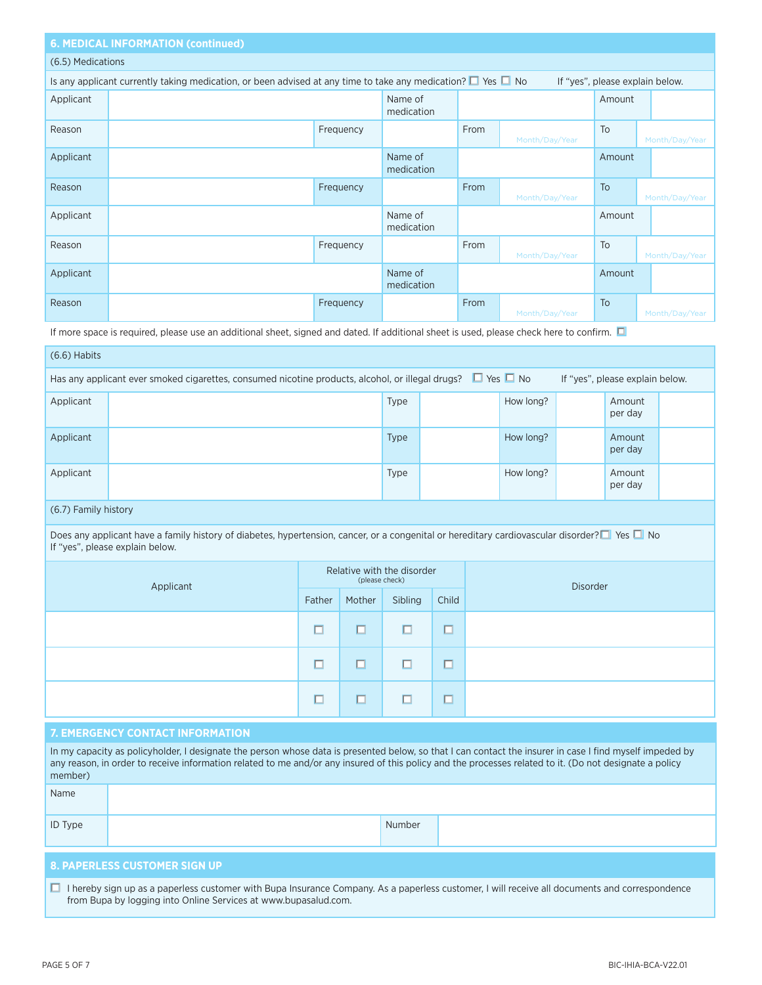## **6. MEDICAL INFORMATION (continued)**

## (6.5) Medications

|           | Is any applicant currently taking medication, or been advised at any time to take any medication? $\square$ Yes $\square$ No<br>If "yes", please explain below. |           |                       |      |                |        |                |  |  |
|-----------|-----------------------------------------------------------------------------------------------------------------------------------------------------------------|-----------|-----------------------|------|----------------|--------|----------------|--|--|
| Applicant |                                                                                                                                                                 |           | Name of<br>medication |      |                | Amount |                |  |  |
| Reason    |                                                                                                                                                                 | Frequency |                       | From | Month/Day/Year | To     | Month/Day/Year |  |  |
| Applicant |                                                                                                                                                                 |           | Name of<br>medication |      |                | Amount |                |  |  |
| Reason    |                                                                                                                                                                 | Frequency |                       | From | Month/Day/Year | To     | Month/Day/Year |  |  |
| Applicant |                                                                                                                                                                 |           | Name of<br>medication |      |                | Amount |                |  |  |
| Reason    |                                                                                                                                                                 | Frequency |                       | From | Month/Day/Year | To     | Month/Day/Year |  |  |
| Applicant |                                                                                                                                                                 |           | Name of<br>medication |      |                | Amount |                |  |  |
| Reason    |                                                                                                                                                                 | Frequency |                       | From | Month/Day/Year | To     | Month/Day/Year |  |  |

If more space is required, please use an additional sheet, signed and dated. If additional sheet is used, please check here to confirm.  $\Box$ 

| $(6.6)$ Habits |                                                                                                                                                          |             |  |           |  |                   |  |  |  |
|----------------|----------------------------------------------------------------------------------------------------------------------------------------------------------|-------------|--|-----------|--|-------------------|--|--|--|
|                | Has any applicant ever smoked cigarettes, consumed nicotine products, alcohol, or illegal drugs? $\Box$ Yes $\Box$ No<br>If "yes", please explain below. |             |  |           |  |                   |  |  |  |
| Applicant      |                                                                                                                                                          | <b>Type</b> |  | How long? |  | Amount<br>per day |  |  |  |
| Applicant      |                                                                                                                                                          | <b>Type</b> |  | How long? |  | Amount<br>per day |  |  |  |
| Applicant      |                                                                                                                                                          | Type        |  | How long? |  | Amount<br>per day |  |  |  |

## (6.7) Family history

Does any applicant have a family history of diabetes, hypertension, cancer, or a congenital or hereditary cardiovascular disorder? $\Box$  Yes  $\Box$  No If "yes", please explain below.

| Applicant | Relative with the disorder<br>(please check) |        |         |                          | <b>Disorder</b> |
|-----------|----------------------------------------------|--------|---------|--------------------------|-----------------|
|           | Father                                       | Mother | Sibling | Child                    |                 |
|           | $\Box$                                       | □      |         | $-$<br>□                 |                 |
|           | □                                            | □      | ш       | ப                        |                 |
|           | □                                            | ப      |         | $\overline{\phantom{a}}$ |                 |

## **7. EMERGENCY CONTACT INFORMATION**

| In my capacity as policyholder, I designate the person whose data is presented below, so that I can contact the insurer in case I find myself impeded by<br>any reason, in order to receive information related to me and/or any insured of this policy and the processes related to it. (Do not designate a policy<br>member) |  |        |  |  |  |  |  |
|--------------------------------------------------------------------------------------------------------------------------------------------------------------------------------------------------------------------------------------------------------------------------------------------------------------------------------|--|--------|--|--|--|--|--|
| Name                                                                                                                                                                                                                                                                                                                           |  |        |  |  |  |  |  |
| <b>ID Type</b>                                                                                                                                                                                                                                                                                                                 |  | Number |  |  |  |  |  |
| <b>O BAREBLECC CHCTOMER CLOULIN</b>                                                                                                                                                                                                                                                                                            |  |        |  |  |  |  |  |

#### **8. PAPERLESS CUSTOMER SIGN UP**

■ I hereby sign up as a paperless customer with Bupa Insurance Company. As a paperless customer, I will receive all documents and correspondence from Bupa by logging into Online Services at www.bupasalud.com.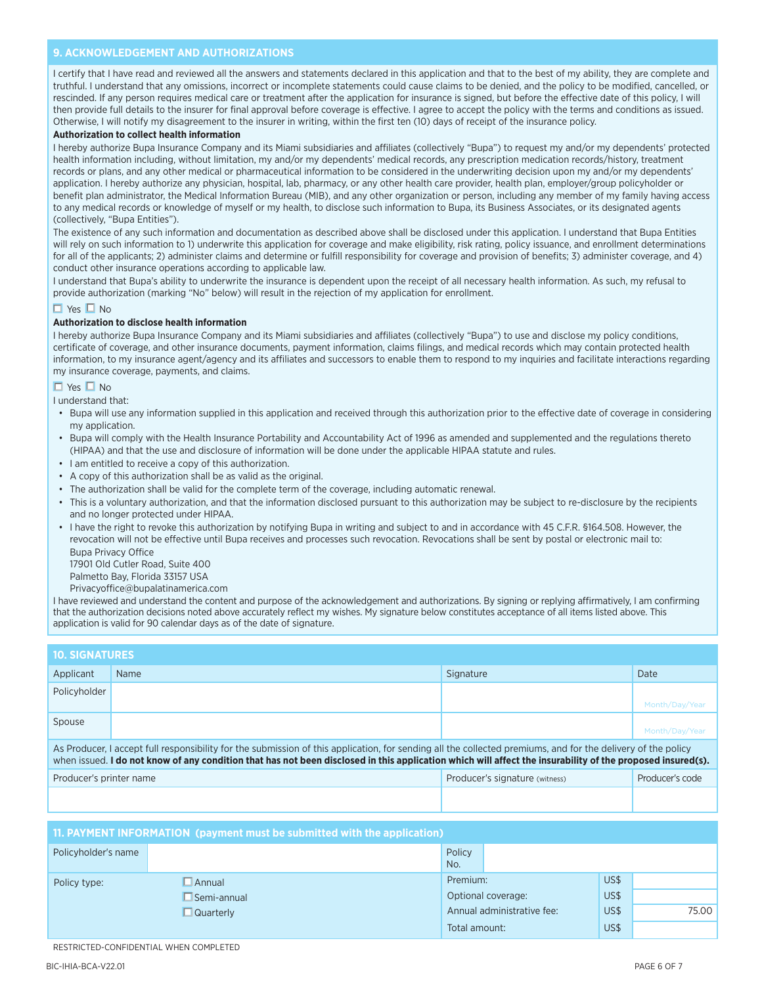## **9. ACKNOWLEDGEMENT AND AUTHORIZATIONS**

I certify that I have read and reviewed all the answers and statements declared in this application and that to the best of my ability, they are complete and truthful. I understand that any omissions, incorrect or incomplete statements could cause claims to be denied, and the policy to be modified, cancelled, or rescinded. If any person requires medical care or treatment after the application for insurance is signed, but before the effective date of this policy, I will then provide full details to the insurer for final approval before coverage is effective. I agree to accept the policy with the terms and conditions as issued. Otherwise, I will notify my disagreement to the insurer in writing, within the first ten (10) days of receipt of the insurance policy.

#### **Authorization to collect health information**

I hereby authorize Bupa Insurance Company and its Miami subsidiaries and affiliates (collectively "Bupa") to request my and/or my dependents' protected health information including, without limitation, my and/or my dependents' medical records, any prescription medication records/history, treatment records or plans, and any other medical or pharmaceutical information to be considered in the underwriting decision upon my and/or my dependents' application. I hereby authorize any physician, hospital, lab, pharmacy, or any other health care provider, health plan, employer/group policyholder or benefit plan administrator, the Medical Information Bureau (MIB), and any other organization or person, including any member of my family having access to any medical records or knowledge of myself or my health, to disclose such information to Bupa, its Business Associates, or its designated agents (collectively, "Bupa Entities").

The existence of any such information and documentation as described above shall be disclosed under this application. I understand that Bupa Entities will rely on such information to 1) underwrite this application for coverage and make eligibility, risk rating, policy issuance, and enrollment determinations for all of the applicants; 2) administer claims and determine or fulfill responsibility for coverage and provision of benefits; 3) administer coverage, and 4) conduct other insurance operations according to applicable law.

I understand that Bupa's ability to underwrite the insurance is dependent upon the receipt of all necessary health information. As such, my refusal to provide authorization (marking "No" below) will result in the rejection of my application for enrollment.

#### $\Box$  Yes  $\Box$  No

### **Authorization to disclose health information**

I hereby authorize Bupa Insurance Company and its Miami subsidiaries and affiliates (collectively "Bupa") to use and disclose my policy conditions, certificate of coverage, and other insurance documents, payment information, claims filings, and medical records which may contain protected health information, to my insurance agent/agency and its affiliates and successors to enable them to respond to my inquiries and facilitate interactions regarding my insurance coverage, payments, and claims.

#### $\Box$  Yes  $\Box$  No

I understand that:

- Bupa will use any information supplied in this application and received through this authorization prior to the effective date of coverage in considering my application.
- Bupa will comply with the Health Insurance Portability and Accountability Act of 1996 as amended and supplemented and the regulations thereto (HIPAA) and that the use and disclosure of information will be done under the applicable HIPAA statute and rules.
- I am entitled to receive a copy of this authorization.
- A copy of this authorization shall be as valid as the original.
- The authorization shall be valid for the complete term of the coverage, including automatic renewal.
- This is a voluntary authorization, and that the information disclosed pursuant to this authorization may be subject to re-disclosure by the recipients and no longer protected under HIPAA.
- I have the right to revoke this authorization by notifying Bupa in writing and subject to and in accordance with 45 C.F.R. §164.508. However, the revocation will not be effective until Bupa receives and processes such revocation. Revocations shall be sent by postal or electronic mail to: Bupa Privacy Office

17901 Old Cutler Road, Suite 400

Palmetto Bay, Florida 33157 USA

Privacyoffice@bupalatinamerica.com

I have reviewed and understand the content and purpose of the acknowledgement and authorizations. By signing or replying affirmatively, I am confirming that the authorization decisions noted above accurately reflect my wishes. My signature below constitutes acceptance of all items listed above. This application is valid for 90 calendar days as of the date of signature.

|                         | <b>.10. SIGNATURES</b> '                                                                                                                                                                                                                                                                                                   |                                |                 |  |  |  |  |  |  |
|-------------------------|----------------------------------------------------------------------------------------------------------------------------------------------------------------------------------------------------------------------------------------------------------------------------------------------------------------------------|--------------------------------|-----------------|--|--|--|--|--|--|
| Applicant               | Name                                                                                                                                                                                                                                                                                                                       | Signature                      | Date            |  |  |  |  |  |  |
| Policyholder            |                                                                                                                                                                                                                                                                                                                            |                                |                 |  |  |  |  |  |  |
|                         |                                                                                                                                                                                                                                                                                                                            |                                | Month/Dav/Year  |  |  |  |  |  |  |
| Spouse                  |                                                                                                                                                                                                                                                                                                                            |                                |                 |  |  |  |  |  |  |
|                         |                                                                                                                                                                                                                                                                                                                            |                                | Month/Day/Year  |  |  |  |  |  |  |
|                         | As Producer, I accept full responsibility for the submission of this application, for sending all the collected premiums, and for the delivery of the policy<br>when issued. I do not know of any condition that has not been disclosed in this application which will affect the insurability of the proposed insured(s). |                                |                 |  |  |  |  |  |  |
| Producer's printer name |                                                                                                                                                                                                                                                                                                                            | Producer's signature (witness) | Producer's code |  |  |  |  |  |  |

### **11. PAYMENT INFORMATION (payment must be submitted with the application)**

|                     | ______             |               |                            |      |       |
|---------------------|--------------------|---------------|----------------------------|------|-------|
| Policyholder's name |                    | Policy<br>No. |                            |      |       |
| Policy type:        | Annual             | Premium:      |                            | US\$ |       |
|                     | $\Box$ Semi-annual |               | Optional coverage:         | US\$ |       |
|                     | $\Box$ Quarterly   |               | Annual administrative fee: | US\$ | 75.00 |
|                     |                    | Total amount: |                            | US\$ |       |

RESTRICTED-CONFIDENTIAL WHEN COMPLETED